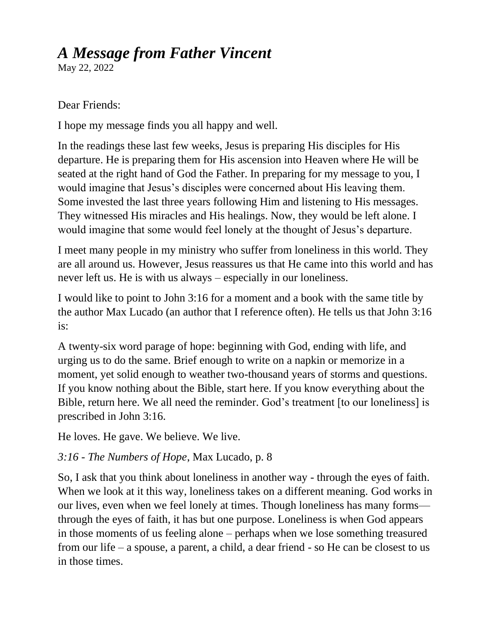## *A Message from Father Vincent*

May 22, 2022

## Dear Friends:

I hope my message finds you all happy and well.

In the readings these last few weeks, Jesus is preparing His disciples for His departure. He is preparing them for His ascension into Heaven where He will be seated at the right hand of God the Father. In preparing for my message to you, I would imagine that Jesus's disciples were concerned about His leaving them. Some invested the last three years following Him and listening to His messages. They witnessed His miracles and His healings. Now, they would be left alone. I would imagine that some would feel lonely at the thought of Jesus's departure.

I meet many people in my ministry who suffer from loneliness in this world. They are all around us. However, Jesus reassures us that He came into this world and has never left us. He is with us always – especially in our loneliness.

I would like to point to John 3:16 for a moment and a book with the same title by the author Max Lucado (an author that I reference often). He tells us that John 3:16 is:

A twenty-six word parage of hope: beginning with God, ending with life, and urging us to do the same. Brief enough to write on a napkin or memorize in a moment, yet solid enough to weather two-thousand years of storms and questions. If you know nothing about the Bible, start here. If you know everything about the Bible, return here. We all need the reminder. God's treatment [to our loneliness] is prescribed in John 3:16.

He loves. He gave. We believe. We live.

## *3:16 - The Numbers of Hope*, Max Lucado, p. 8

So, I ask that you think about loneliness in another way - through the eyes of faith. When we look at it this way, loneliness takes on a different meaning. God works in our lives, even when we feel lonely at times. Though loneliness has many forms through the eyes of faith, it has but one purpose. Loneliness is when God appears in those moments of us feeling alone – perhaps when we lose something treasured from our life – a spouse, a parent, a child, a dear friend - so He can be closest to us in those times.